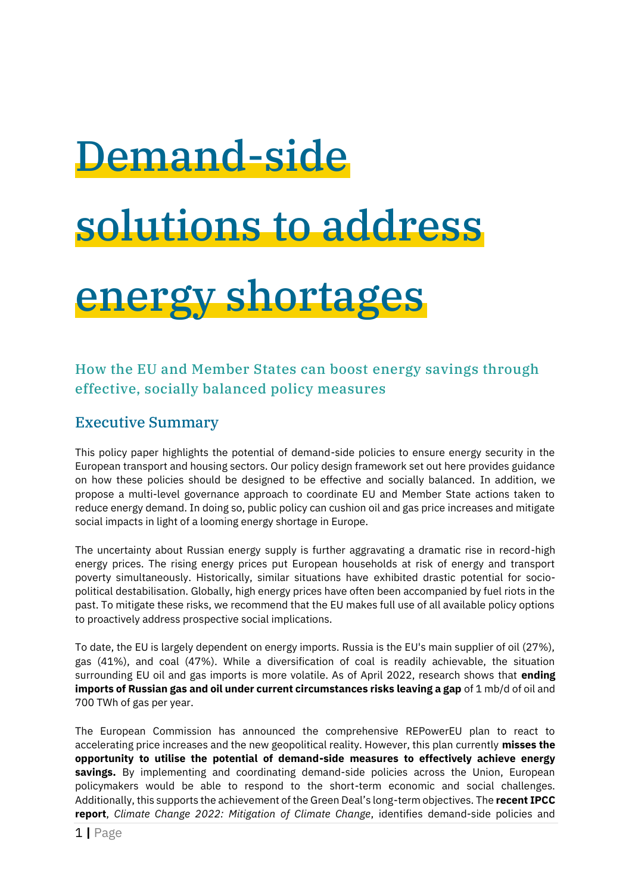## Demand-side solutions to address energy shortages

How the EU and Member States can boost energy savings through effective, socially balanced policy measures

## Executive Summary

This policy paper highlights the potential of demand-side policies to ensure energy security in the European transport and housing sectors. Our policy design framework set out here provides guidance on how these policies should be designed to be effective and socially balanced. In addition, we propose a multi-level governance approach to coordinate EU and Member State actions taken to reduce energy demand. In doing so, public policy can cushion oil and gas price increases and mitigate social impacts in light of a looming energy shortage in Europe.

The uncertainty about Russian energy supply is further aggravating a dramatic rise in record-high energy prices. The rising energy prices put European households at risk of energy and transport poverty simultaneously. Historically, similar situations have exhibited drastic potential for sociopolitical destabilisation. Globally, high energy prices have often been accompanied by fuel riots in the past. To mitigate these risks, we recommend that the EU makes full use of all available policy options to proactively address prospective social implications.

To date, the EU is largely dependent on energy imports. Russia is the EU's main supplier of oil (27%), gas (41%), and coal (47%). While a diversification of coal is readily achievable, the situation surrounding EU oil and gas imports is more volatile. As of April 2022, research shows that **ending imports of Russian gas and oil under current circumstances risks leaving a gap** of 1 mb/d of oil and 700 TWh of gas per year.

The European Commission has announced the comprehensive REPowerEU plan to react to accelerating price increases and the new geopolitical reality. However, this plan currently **misses the opportunity to utilise the potential of demand-side measures to effectively achieve energy savings.** By implementing and coordinating demand-side policies across the Union, European policymakers would be able to respond to the short-term economic and social challenges. Additionally, this supports the achievement of the Green Deal's long-term objectives. The **recent IPCC report**, *Climate Change 2022: Mitigation of Climate Change*, identifies demand-side policies and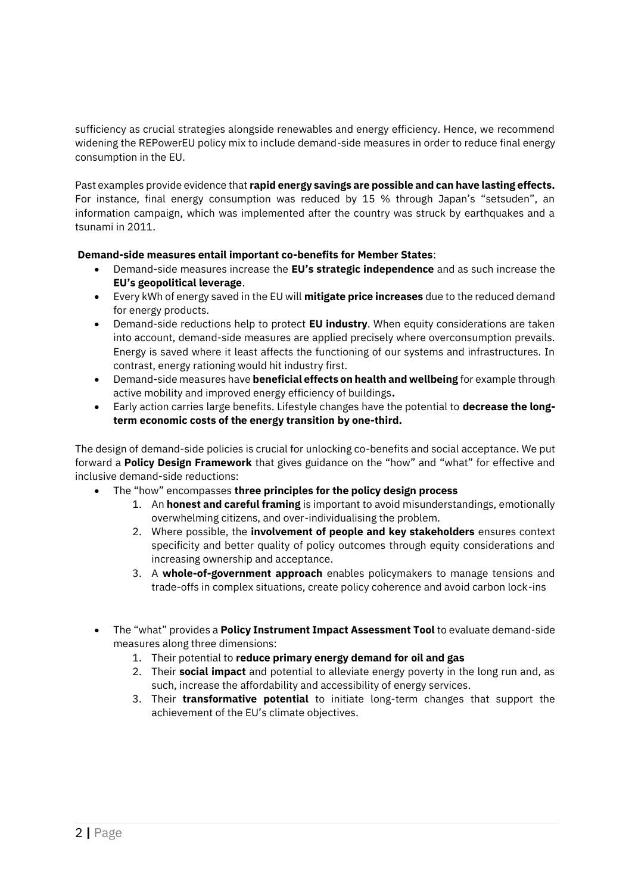sufficiency as crucial strategies alongside renewables and energy efficiency. Hence, we recommend widening the REPowerEU policy mix to include demand-side measures in order to reduce final energy consumption in the EU.

Past examples provide evidence that **rapid energy savings are possible and can have lasting effects.** For instance, final energy consumption was reduced by 15 % through Japan's "setsuden", an information campaign, which was implemented after the country was struck by earthquakes and a tsunami in 2011.

## **Demand-side measures entail important co-benefits for Member States**:

- Demand-side measures increase the **EU's strategic independence** and as such increase the **EU's geopolitical leverage**.
- Every kWh of energy saved in the EU will **mitigate price increases** due to the reduced demand for energy products.
- Demand-side reductions help to protect **EU industry**. When equity considerations are taken into account, demand-side measures are applied precisely where overconsumption prevails. Energy is saved where it least affects the functioning of our systems and infrastructures. In contrast, energy rationing would hit industry first.
- Demand-side measures have **beneficial effects on health and wellbeing** for example through active mobility and improved energy efficiency of buildings**.**
- Early action carries large benefits. Lifestyle changes have the potential to **decrease the longterm economic costs of the energy transition by one-third.**

The design of demand-side policies is crucial for unlocking co-benefits and social acceptance. We put forward a **Policy Design Framework** that gives guidance on the "how" and "what" for effective and inclusive demand-side reductions:

- The "how" encompasses **three principles for the policy design process**
	- 1. An **honest and careful framing** is important to avoid misunderstandings, emotionally overwhelming citizens, and over-individualising the problem.
	- 2. Where possible, the **involvement of people and key stakeholders** ensures context specificity and better quality of policy outcomes through equity considerations and increasing ownership and acceptance.
	- 3. A **whole-of-government approach** enables policymakers to manage tensions and trade-offs in complex situations, create policy coherence and avoid carbon lock-ins
- The "what" provides a **Policy Instrument Impact Assessment Tool** to evaluate demand-side measures along three dimensions:
	- 1. Their potential to **reduce primary energy demand for oil and gas**
	- 2. Their **social impact** and potential to alleviate energy poverty in the long run and, as such, increase the affordability and accessibility of energy services.
	- 3. Their **transformative potential** to initiate long-term changes that support the achievement of the EU's climate objectives.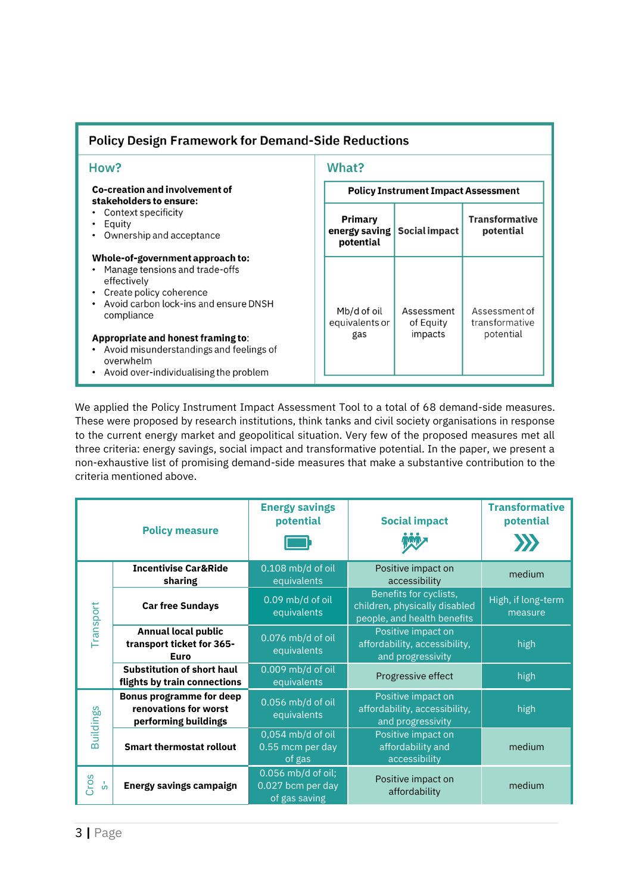| <b>Policy Design Framework for Demand-Side Reductions</b>                                                                                                                                                                                                                                                                                                                                                                             |                                            |                                    |                                              |  |  |  |  |
|---------------------------------------------------------------------------------------------------------------------------------------------------------------------------------------------------------------------------------------------------------------------------------------------------------------------------------------------------------------------------------------------------------------------------------------|--------------------------------------------|------------------------------------|----------------------------------------------|--|--|--|--|
| How?                                                                                                                                                                                                                                                                                                                                                                                                                                  | What?                                      |                                    |                                              |  |  |  |  |
| Co-creation and involvement of<br>stakeholders to ensure:<br>Context specificity<br>Equity<br>Ownership and acceptance<br>Whole-of-government approach to:<br>Manage tensions and trade-offs<br>effectively<br>Create policy coherence<br>Avoid carbon lock-ins and ensure DNSH<br>compliance<br>Appropriate and honest framing to:<br>Avoid misunderstandings and feelings of<br>overwhelm<br>Avoid over-individualising the problem | <b>Policy Instrument Impact Assessment</b> |                                    |                                              |  |  |  |  |
|                                                                                                                                                                                                                                                                                                                                                                                                                                       | Primary<br>energy saving<br>potential      | Social impact                      | <b>Transformative</b><br>potential           |  |  |  |  |
|                                                                                                                                                                                                                                                                                                                                                                                                                                       | Mb/d of oil<br>equivalents or<br>gas       | Assessment<br>of Equity<br>impacts | Assessment of<br>transformative<br>potential |  |  |  |  |

We applied the Policy Instrument Impact Assessment Tool to a total of 68 demand-side measures. These were proposed by research institutions, think tanks and civil society organisations in response to the current energy market and geopolitical situation. Very few of the proposed measures met all three criteria: energy savings, social impact and transformative potential. In the paper, we present a non-exhaustive list of promising demand-side measures that make a substantive contribution to the criteria mentioned above.

| <b>Policy measure</b> |                                                                                  | <b>Energy savings</b><br>potential                       | <b>Social impact</b>                                                                   | <b>Transformative</b><br>potential |
|-----------------------|----------------------------------------------------------------------------------|----------------------------------------------------------|----------------------------------------------------------------------------------------|------------------------------------|
|                       |                                                                                  |                                                          |                                                                                        |                                    |
| Transport             | <b>Incentivise Car&amp;Ride</b><br>sharing                                       | 0.108 mb/d of oil<br>equivalents                         | Positive impact on<br>accessibility                                                    | medium                             |
|                       | <b>Car free Sundays</b>                                                          | 0.09 mb/d of oil<br>equivalents                          | Benefits for cyclists,<br>children, physically disabled<br>people, and health benefits | High, if long-term<br>measure      |
|                       | <b>Annual local public</b><br>transport ticket for 365-<br>Euro                  | 0.076 mb/d of oil<br>equivalents                         | Positive impact on<br>affordability, accessibility,<br>and progressivity               | high                               |
|                       | <b>Substitution of short haul</b><br>flights by train connections                | 0.009 mb/d of oil<br>equivalents                         | Progressive effect                                                                     | high                               |
| Buildings             | <b>Bonus programme for deep</b><br>renovations for worst<br>performing buildings | 0.056 mb/d of oil<br>equivalents                         | Positive impact on<br>affordability, accessibility,<br>and progressivity               | high                               |
|                       | <b>Smart thermostat rollout</b>                                                  | 0,054 mb/d of oil<br>0.55 mcm per day<br>of gas          | Positive impact on<br>affordability and<br>accessibility                               | medium                             |
| Cros<br>ပ္ပံ          | <b>Energy savings campaign</b>                                                   | 0.056 mb/d of oil;<br>0.027 bcm per day<br>of gas saving | Positive impact on<br>affordability                                                    | medium                             |